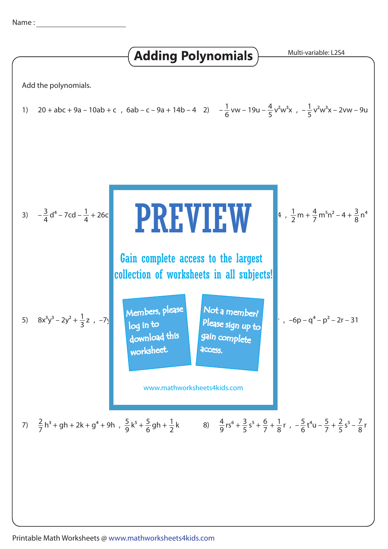